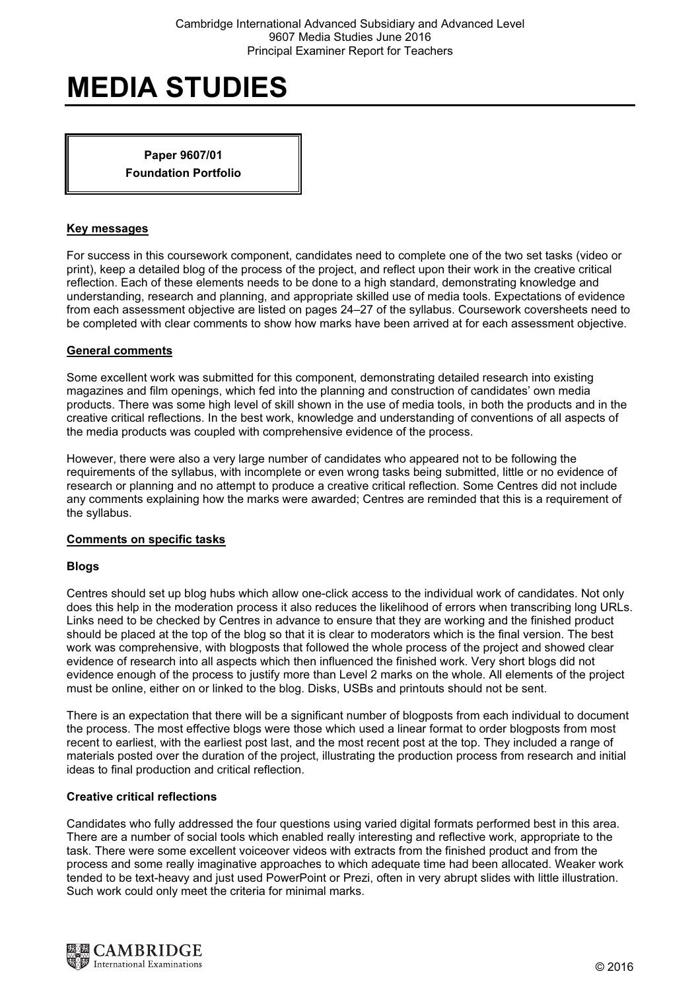Paper 9607/01 Foundation Portfolio

## Key messages

For success in this coursework component, candidates need to complete one of the two set tasks (video or print), keep a detailed blog of the process of the project, and reflect upon their work in the creative critical reflection. Each of these elements needs to be done to a high standard, demonstrating knowledge and understanding, research and planning, and appropriate skilled use of media tools. Expectations of evidence from each assessment objective are listed on pages 24–27 of the syllabus. Coursework coversheets need to be completed with clear comments to show how marks have been arrived at for each assessment objective.

## General comments

Some excellent work was submitted for this component, demonstrating detailed research into existing magazines and film openings, which fed into the planning and construction of candidates' own media products. There was some high level of skill shown in the use of media tools, in both the products and in the creative critical reflections. In the best work, knowledge and understanding of conventions of all aspects of the media products was coupled with comprehensive evidence of the process.

However, there were also a very large number of candidates who appeared not to be following the requirements of the syllabus, with incomplete or even wrong tasks being submitted, little or no evidence of research or planning and no attempt to produce a creative critical reflection. Some Centres did not include any comments explaining how the marks were awarded; Centres are reminded that this is a requirement of the syllabus.

#### Comments on specific tasks

#### Blogs

Centres should set up blog hubs which allow one-click access to the individual work of candidates. Not only does this help in the moderation process it also reduces the likelihood of errors when transcribing long URLs. Links need to be checked by Centres in advance to ensure that they are working and the finished product should be placed at the top of the blog so that it is clear to moderators which is the final version. The best work was comprehensive, with blogposts that followed the whole process of the project and showed clear evidence of research into all aspects which then influenced the finished work. Very short blogs did not evidence enough of the process to justify more than Level 2 marks on the whole. All elements of the project must be online, either on or linked to the blog. Disks, USBs and printouts should not be sent.

There is an expectation that there will be a significant number of blogposts from each individual to document the process. The most effective blogs were those which used a linear format to order blogposts from most recent to earliest, with the earliest post last, and the most recent post at the top. They included a range of materials posted over the duration of the project, illustrating the production process from research and initial ideas to final production and critical reflection.

#### Creative critical reflections

Candidates who fully addressed the four questions using varied digital formats performed best in this area. There are a number of social tools which enabled really interesting and reflective work, appropriate to the task. There were some excellent voiceover videos with extracts from the finished product and from the process and some really imaginative approaches to which adequate time had been allocated. Weaker work tended to be text-heavy and just used PowerPoint or Prezi, often in very abrupt slides with little illustration. Such work could only meet the criteria for minimal marks.

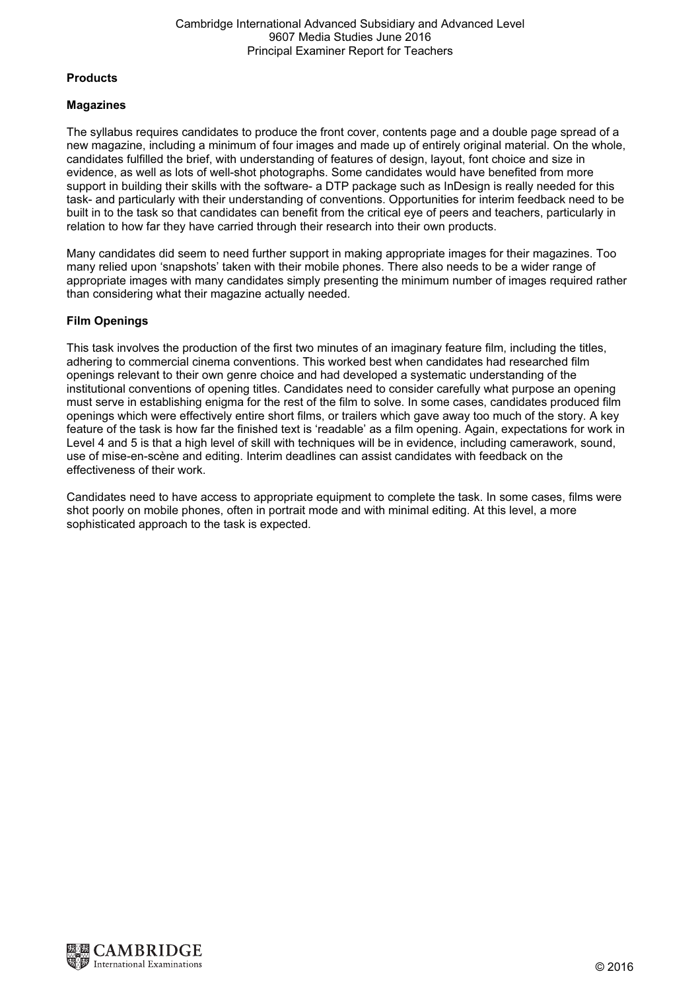## **Products**

# Magazines

The syllabus requires candidates to produce the front cover, contents page and a double page spread of a new magazine, including a minimum of four images and made up of entirely original material. On the whole, candidates fulfilled the brief, with understanding of features of design, layout, font choice and size in evidence, as well as lots of well-shot photographs. Some candidates would have benefited from more support in building their skills with the software- a DTP package such as InDesign is really needed for this task- and particularly with their understanding of conventions. Opportunities for interim feedback need to be built in to the task so that candidates can benefit from the critical eye of peers and teachers, particularly in relation to how far they have carried through their research into their own products.

Many candidates did seem to need further support in making appropriate images for their magazines. Too many relied upon 'snapshots' taken with their mobile phones. There also needs to be a wider range of appropriate images with many candidates simply presenting the minimum number of images required rather than considering what their magazine actually needed.

# Film Openings

This task involves the production of the first two minutes of an imaginary feature film, including the titles, adhering to commercial cinema conventions. This worked best when candidates had researched film openings relevant to their own genre choice and had developed a systematic understanding of the institutional conventions of opening titles. Candidates need to consider carefully what purpose an opening must serve in establishing enigma for the rest of the film to solve. In some cases, candidates produced film openings which were effectively entire short films, or trailers which gave away too much of the story. A key feature of the task is how far the finished text is 'readable' as a film opening. Again, expectations for work in Level 4 and 5 is that a high level of skill with techniques will be in evidence, including camerawork, sound, use of mise-en-scène and editing. Interim deadlines can assist candidates with feedback on the effectiveness of their work.

Candidates need to have access to appropriate equipment to complete the task. In some cases, films were shot poorly on mobile phones, often in portrait mode and with minimal editing. At this level, a more sophisticated approach to the task is expected.

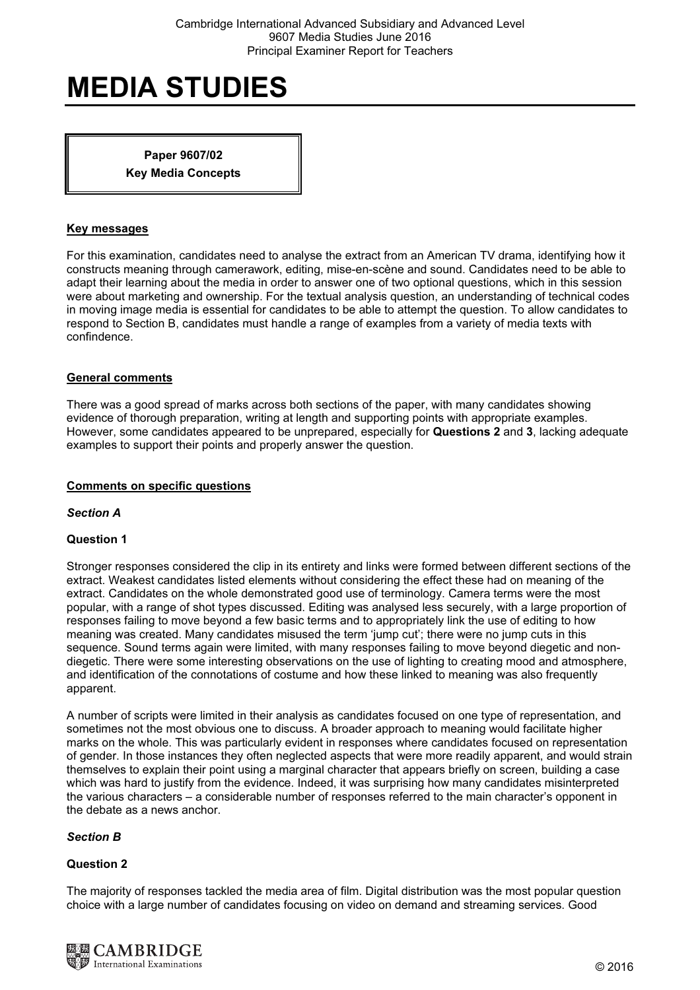Paper 9607/02 Key Media Concepts

### Key messages

For this examination, candidates need to analyse the extract from an American TV drama, identifying how it constructs meaning through camerawork, editing, mise-en-scène and sound. Candidates need to be able to adapt their learning about the media in order to answer one of two optional questions, which in this session were about marketing and ownership. For the textual analysis question, an understanding of technical codes in moving image media is essential for candidates to be able to attempt the question. To allow candidates to respond to Section B, candidates must handle a range of examples from a variety of media texts with confindence.

## General comments

There was a good spread of marks across both sections of the paper, with many candidates showing evidence of thorough preparation, writing at length and supporting points with appropriate examples. However, some candidates appeared to be unprepared, especially for Questions 2 and 3, lacking adequate examples to support their points and properly answer the question.

#### Comments on specific questions

#### Section A

# Question 1

Stronger responses considered the clip in its entirety and links were formed between different sections of the extract. Weakest candidates listed elements without considering the effect these had on meaning of the extract. Candidates on the whole demonstrated good use of terminology. Camera terms were the most popular, with a range of shot types discussed. Editing was analysed less securely, with a large proportion of responses failing to move beyond a few basic terms and to appropriately link the use of editing to how meaning was created. Many candidates misused the term 'jump cut'; there were no jump cuts in this sequence. Sound terms again were limited, with many responses failing to move beyond diegetic and nondiegetic. There were some interesting observations on the use of lighting to creating mood and atmosphere, and identification of the connotations of costume and how these linked to meaning was also frequently apparent.

A number of scripts were limited in their analysis as candidates focused on one type of representation, and sometimes not the most obvious one to discuss. A broader approach to meaning would facilitate higher marks on the whole. This was particularly evident in responses where candidates focused on representation of gender. In those instances they often neglected aspects that were more readily apparent, and would strain themselves to explain their point using a marginal character that appears briefly on screen, building a case which was hard to justify from the evidence. Indeed, it was surprising how many candidates misinterpreted the various characters – a considerable number of responses referred to the main character's opponent in the debate as a news anchor.

#### Section B

#### Question 2

The majority of responses tackled the media area of film. Digital distribution was the most popular question choice with a large number of candidates focusing on video on demand and streaming services. Good

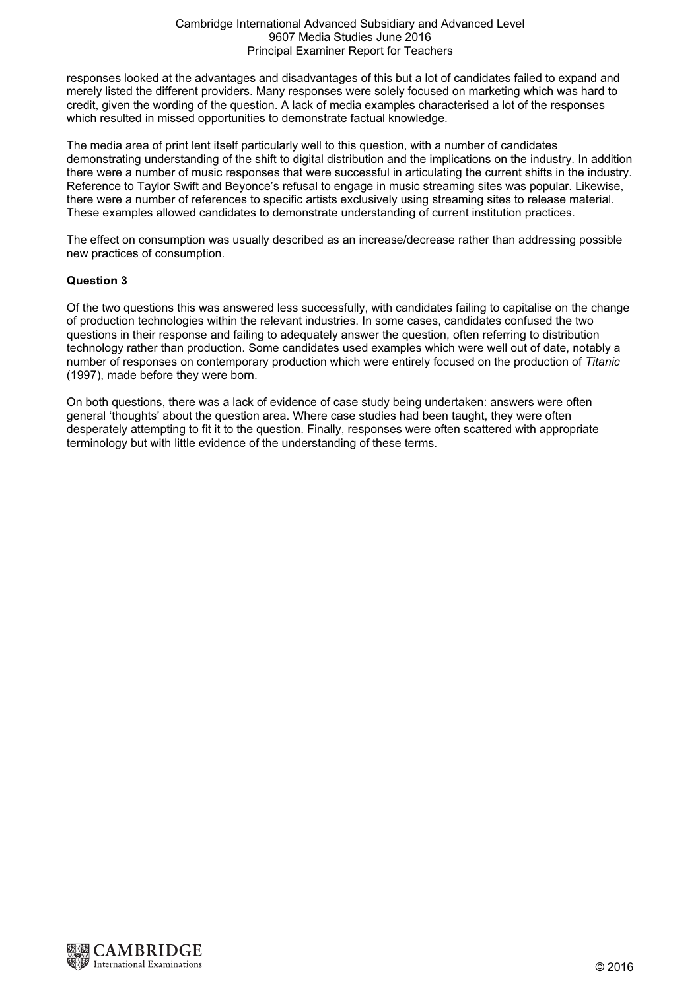#### Cambridge International Advanced Subsidiary and Advanced Level 9607 Media Studies June 2016 Principal Examiner Report for Teachers

responses looked at the advantages and disadvantages of this but a lot of candidates failed to expand and merely listed the different providers. Many responses were solely focused on marketing which was hard to credit, given the wording of the question. A lack of media examples characterised a lot of the responses which resulted in missed opportunities to demonstrate factual knowledge.

The media area of print lent itself particularly well to this question, with a number of candidates demonstrating understanding of the shift to digital distribution and the implications on the industry. In addition there were a number of music responses that were successful in articulating the current shifts in the industry. Reference to Taylor Swift and Beyonce's refusal to engage in music streaming sites was popular. Likewise, there were a number of references to specific artists exclusively using streaming sites to release material. These examples allowed candidates to demonstrate understanding of current institution practices.

The effect on consumption was usually described as an increase/decrease rather than addressing possible new practices of consumption.

# Question 3

Of the two questions this was answered less successfully, with candidates failing to capitalise on the change of production technologies within the relevant industries. In some cases, candidates confused the two questions in their response and failing to adequately answer the question, often referring to distribution technology rather than production. Some candidates used examples which were well out of date, notably a number of responses on contemporary production which were entirely focused on the production of Titanic (1997), made before they were born.

On both questions, there was a lack of evidence of case study being undertaken: answers were often general 'thoughts' about the question area. Where case studies had been taught, they were often desperately attempting to fit it to the question. Finally, responses were often scattered with appropriate terminology but with little evidence of the understanding of these terms.

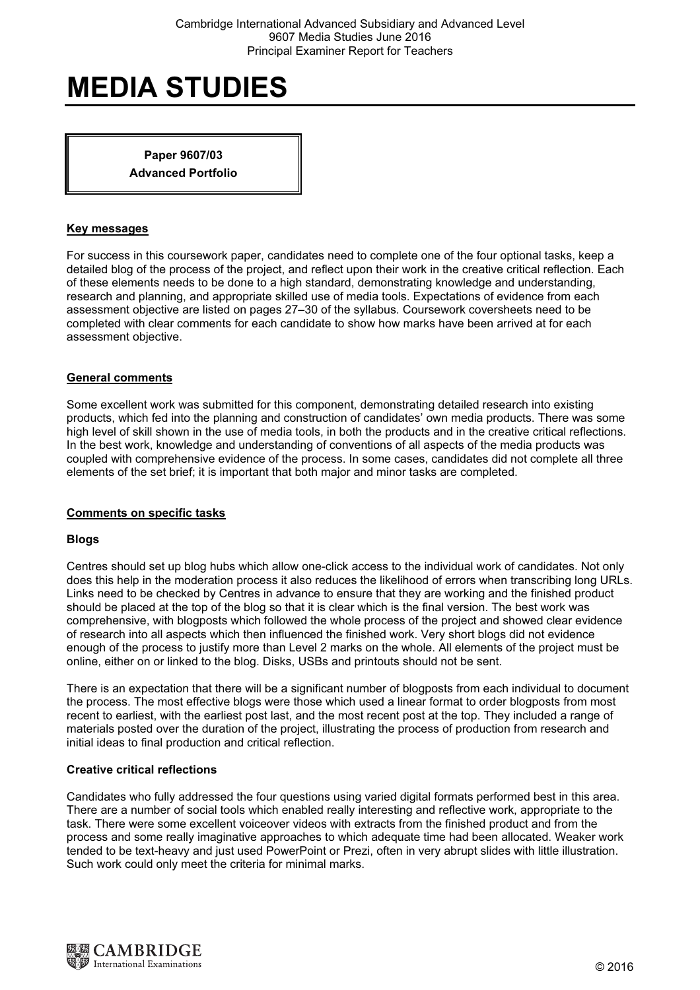Paper 9607/03 Advanced Portfolio

## Key messages

For success in this coursework paper, candidates need to complete one of the four optional tasks, keep a detailed blog of the process of the project, and reflect upon their work in the creative critical reflection. Each of these elements needs to be done to a high standard, demonstrating knowledge and understanding, research and planning, and appropriate skilled use of media tools. Expectations of evidence from each assessment objective are listed on pages 27–30 of the syllabus. Coursework coversheets need to be completed with clear comments for each candidate to show how marks have been arrived at for each assessment objective.

## General comments

Some excellent work was submitted for this component, demonstrating detailed research into existing products, which fed into the planning and construction of candidates' own media products. There was some high level of skill shown in the use of media tools, in both the products and in the creative critical reflections. In the best work, knowledge and understanding of conventions of all aspects of the media products was coupled with comprehensive evidence of the process. In some cases, candidates did not complete all three elements of the set brief; it is important that both major and minor tasks are completed.

# Comments on specific tasks

#### Blogs

Centres should set up blog hubs which allow one-click access to the individual work of candidates. Not only does this help in the moderation process it also reduces the likelihood of errors when transcribing long URLs. Links need to be checked by Centres in advance to ensure that they are working and the finished product should be placed at the top of the blog so that it is clear which is the final version. The best work was comprehensive, with blogposts which followed the whole process of the project and showed clear evidence of research into all aspects which then influenced the finished work. Very short blogs did not evidence enough of the process to justify more than Level 2 marks on the whole. All elements of the project must be online, either on or linked to the blog. Disks, USBs and printouts should not be sent.

There is an expectation that there will be a significant number of blogposts from each individual to document the process. The most effective blogs were those which used a linear format to order blogposts from most recent to earliest, with the earliest post last, and the most recent post at the top. They included a range of materials posted over the duration of the project, illustrating the process of production from research and initial ideas to final production and critical reflection.

#### Creative critical reflections

Candidates who fully addressed the four questions using varied digital formats performed best in this area. There are a number of social tools which enabled really interesting and reflective work, appropriate to the task. There were some excellent voiceover videos with extracts from the finished product and from the process and some really imaginative approaches to which adequate time had been allocated. Weaker work tended to be text-heavy and just used PowerPoint or Prezi, often in very abrupt slides with little illustration. Such work could only meet the criteria for minimal marks.

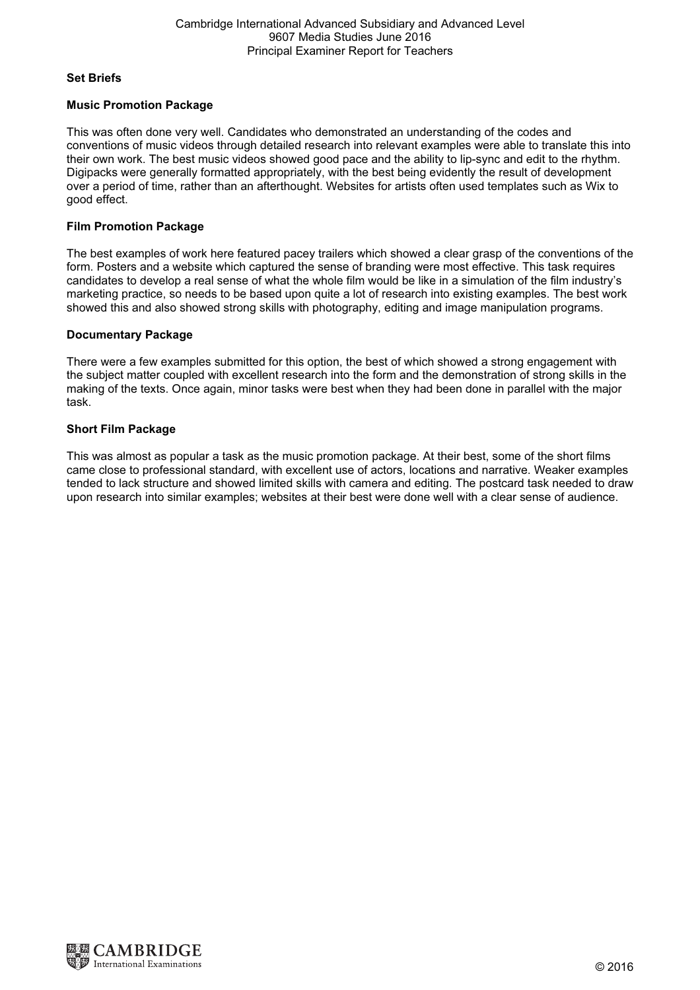## Set Briefs

# Music Promotion Package

This was often done very well. Candidates who demonstrated an understanding of the codes and conventions of music videos through detailed research into relevant examples were able to translate this into their own work. The best music videos showed good pace and the ability to lip-sync and edit to the rhythm. Digipacks were generally formatted appropriately, with the best being evidently the result of development over a period of time, rather than an afterthought. Websites for artists often used templates such as Wix to good effect.

# Film Promotion Package

The best examples of work here featured pacey trailers which showed a clear grasp of the conventions of the form. Posters and a website which captured the sense of branding were most effective. This task requires candidates to develop a real sense of what the whole film would be like in a simulation of the film industry's marketing practice, so needs to be based upon quite a lot of research into existing examples. The best work showed this and also showed strong skills with photography, editing and image manipulation programs.

# Documentary Package

There were a few examples submitted for this option, the best of which showed a strong engagement with the subject matter coupled with excellent research into the form and the demonstration of strong skills in the making of the texts. Once again, minor tasks were best when they had been done in parallel with the major task.

# Short Film Package

This was almost as popular a task as the music promotion package. At their best, some of the short films came close to professional standard, with excellent use of actors, locations and narrative. Weaker examples tended to lack structure and showed limited skills with camera and editing. The postcard task needed to draw upon research into similar examples; websites at their best were done well with a clear sense of audience.

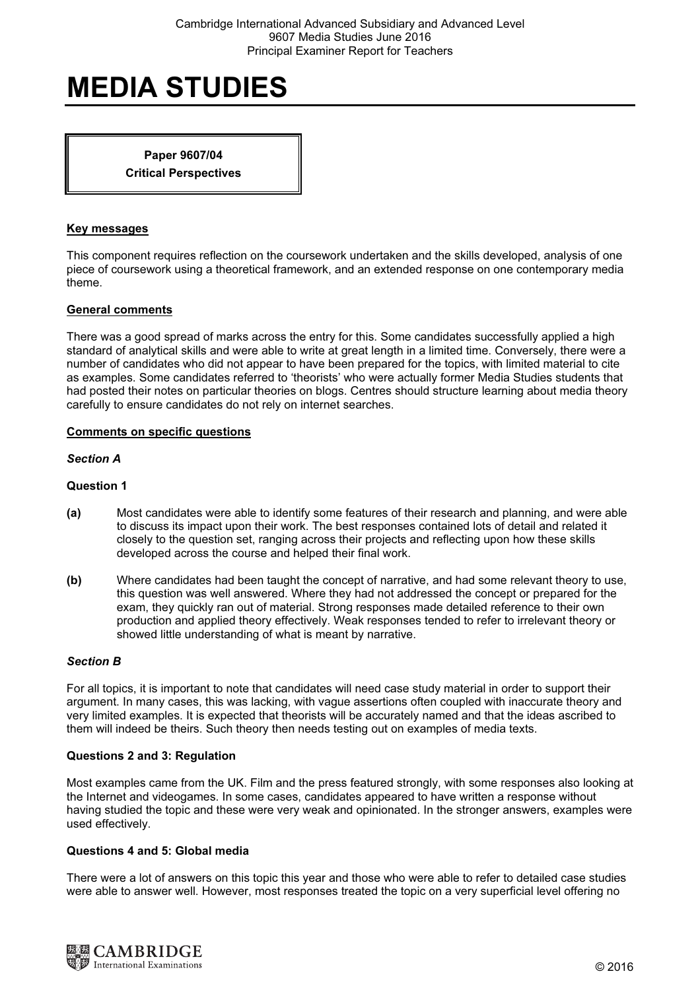Paper 9607/04 Critical Perspectives

## Key messages

This component requires reflection on the coursework undertaken and the skills developed, analysis of one piece of coursework using a theoretical framework, and an extended response on one contemporary media theme.

## General comments

There was a good spread of marks across the entry for this. Some candidates successfully applied a high standard of analytical skills and were able to write at great length in a limited time. Conversely, there were a number of candidates who did not appear to have been prepared for the topics, with limited material to cite as examples. Some candidates referred to 'theorists' who were actually former Media Studies students that had posted their notes on particular theories on blogs. Centres should structure learning about media theory carefully to ensure candidates do not rely on internet searches.

# Comments on specific questions

#### Section A

# Question 1

- (a) Most candidates were able to identify some features of their research and planning, and were able to discuss its impact upon their work. The best responses contained lots of detail and related it closely to the question set, ranging across their projects and reflecting upon how these skills developed across the course and helped their final work.
- (b) Where candidates had been taught the concept of narrative, and had some relevant theory to use, this question was well answered. Where they had not addressed the concept or prepared for the exam, they quickly ran out of material. Strong responses made detailed reference to their own production and applied theory effectively. Weak responses tended to refer to irrelevant theory or showed little understanding of what is meant by narrative.

## Section B

For all topics, it is important to note that candidates will need case study material in order to support their argument. In many cases, this was lacking, with vague assertions often coupled with inaccurate theory and very limited examples. It is expected that theorists will be accurately named and that the ideas ascribed to them will indeed be theirs. Such theory then needs testing out on examples of media texts.

#### Questions 2 and 3: Regulation

Most examples came from the UK. Film and the press featured strongly, with some responses also looking at the Internet and videogames. In some cases, candidates appeared to have written a response without having studied the topic and these were very weak and opinionated. In the stronger answers, examples were used effectively.

## Questions 4 and 5: Global media

There were a lot of answers on this topic this year and those who were able to refer to detailed case studies were able to answer well. However, most responses treated the topic on a very superficial level offering no